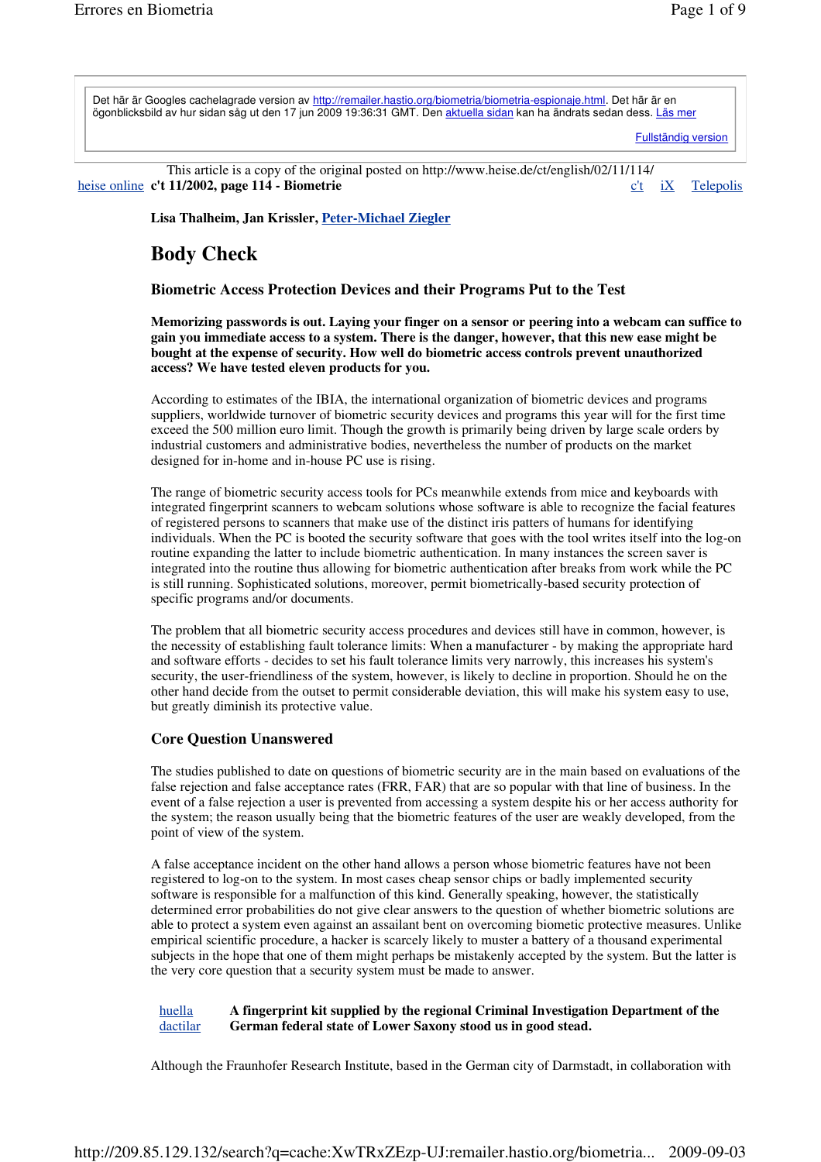Det här är Googles cachelagrade version av http://remailer.hastio.org/biometria/biometria-espionaje.html. Det här är en ögonblicksbild av hur sidan såg ut den 17 jun 2009 19:36:31 GMT. Den aktuella sidan kan ha ändrats sedan dess. Läs mer

Fullständig version

This article is a copy of the original posted on http://www.heise.de/ct/english/02/11/114/ heise online **c't 11/2002, page 114 - Biometrie** c't iX Telepolis

**Lisa Thalheim, Jan Krissler, Peter-Michael Ziegler**

# **Body Check**

# **Biometric Access Protection Devices and their Programs Put to the Test**

**Memorizing passwords is out. Laying your finger on a sensor or peering into a webcam can suffice to gain you immediate access to a system. There is the danger, however, that this new ease might be bought at the expense of security. How well do biometric access controls prevent unauthorized access? We have tested eleven products for you.**

According to estimates of the IBIA, the international organization of biometric devices and programs suppliers, worldwide turnover of biometric security devices and programs this year will for the first time exceed the 500 million euro limit. Though the growth is primarily being driven by large scale orders by industrial customers and administrative bodies, nevertheless the number of products on the market designed for in-home and in-house PC use is rising.

The range of biometric security access tools for PCs meanwhile extends from mice and keyboards with integrated fingerprint scanners to webcam solutions whose software is able to recognize the facial features of registered persons to scanners that make use of the distinct iris patters of humans for identifying individuals. When the PC is booted the security software that goes with the tool writes itself into the log-on routine expanding the latter to include biometric authentication. In many instances the screen saver is integrated into the routine thus allowing for biometric authentication after breaks from work while the PC is still running. Sophisticated solutions, moreover, permit biometrically-based security protection of specific programs and/or documents.

The problem that all biometric security access procedures and devices still have in common, however, is the necessity of establishing fault tolerance limits: When a manufacturer - by making the appropriate hard and software efforts - decides to set his fault tolerance limits very narrowly, this increases his system's security, the user-friendliness of the system, however, is likely to decline in proportion. Should he on the other hand decide from the outset to permit considerable deviation, this will make his system easy to use, but greatly diminish its protective value.

# **Core Question Unanswered**

The studies published to date on questions of biometric security are in the main based on evaluations of the false rejection and false acceptance rates (FRR, FAR) that are so popular with that line of business. In the event of a false rejection a user is prevented from accessing a system despite his or her access authority for the system; the reason usually being that the biometric features of the user are weakly developed, from the point of view of the system.

A false acceptance incident on the other hand allows a person whose biometric features have not been registered to log-on to the system. In most cases cheap sensor chips or badly implemented security software is responsible for a malfunction of this kind. Generally speaking, however, the statistically determined error probabilities do not give clear answers to the question of whether biometric solutions are able to protect a system even against an assailant bent on overcoming biometic protective measures. Unlike empirical scientific procedure, a hacker is scarcely likely to muster a battery of a thousand experimental subjects in the hope that one of them might perhaps be mistakenly accepted by the system. But the latter is the very core question that a security system must be made to answer.

#### huella dactilar **A fingerprint kit supplied by the regional Criminal Investigation Department of the German federal state of Lower Saxony stood us in good stead.**

Although the Fraunhofer Research Institute, based in the German city of Darmstadt, in collaboration with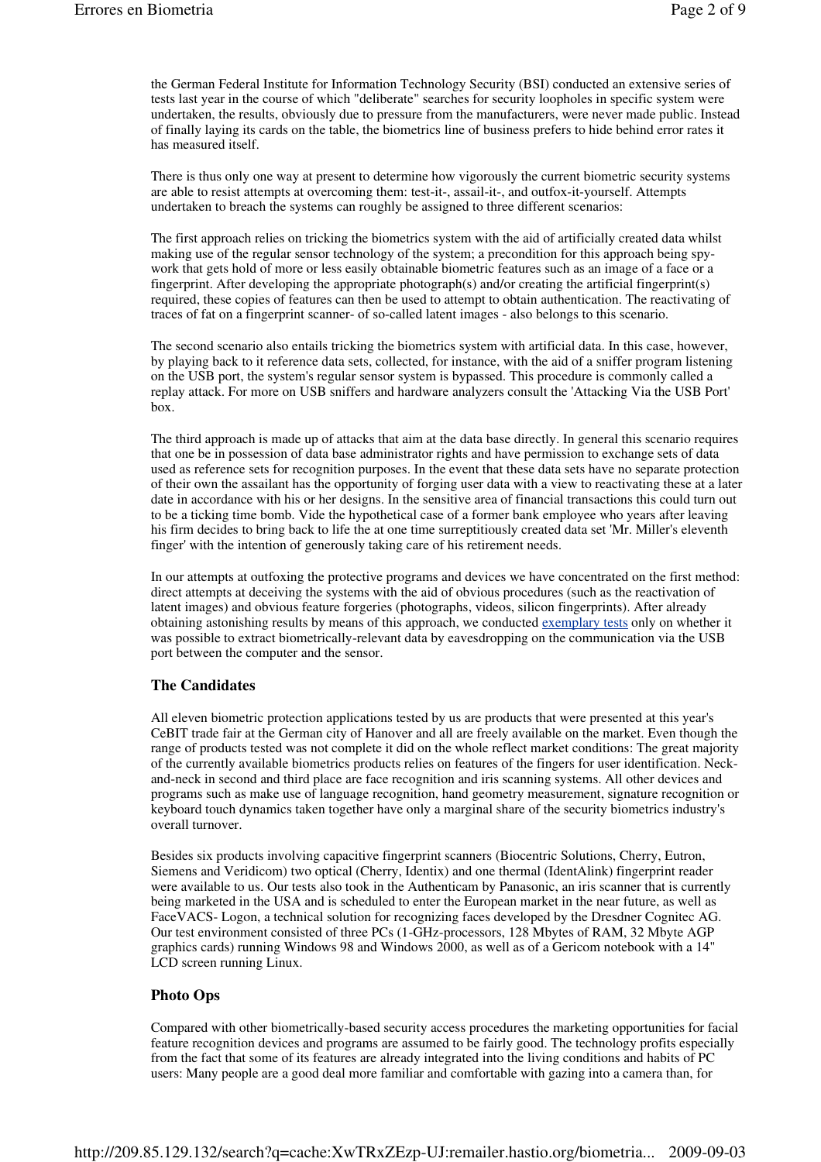the German Federal Institute for Information Technology Security (BSI) conducted an extensive series of tests last year in the course of which "deliberate" searches for security loopholes in specific system were undertaken, the results, obviously due to pressure from the manufacturers, were never made public. Instead of finally laying its cards on the table, the biometrics line of business prefers to hide behind error rates it has measured itself.

There is thus only one way at present to determine how vigorously the current biometric security systems are able to resist attempts at overcoming them: test-it-, assail-it-, and outfox-it-yourself. Attempts undertaken to breach the systems can roughly be assigned to three different scenarios:

The first approach relies on tricking the biometrics system with the aid of artificially created data whilst making use of the regular sensor technology of the system; a precondition for this approach being spywork that gets hold of more or less easily obtainable biometric features such as an image of a face or a fingerprint. After developing the appropriate photograph(s) and/or creating the artificial fingerprint(s) required, these copies of features can then be used to attempt to obtain authentication. The reactivating of traces of fat on a fingerprint scanner- of so-called latent images - also belongs to this scenario.

The second scenario also entails tricking the biometrics system with artificial data. In this case, however, by playing back to it reference data sets, collected, for instance, with the aid of a sniffer program listening on the USB port, the system's regular sensor system is bypassed. This procedure is commonly called a replay attack. For more on USB sniffers and hardware analyzers consult the 'Attacking Via the USB Port' box.

The third approach is made up of attacks that aim at the data base directly. In general this scenario requires that one be in possession of data base administrator rights and have permission to exchange sets of data used as reference sets for recognition purposes. In the event that these data sets have no separate protection of their own the assailant has the opportunity of forging user data with a view to reactivating these at a later date in accordance with his or her designs. In the sensitive area of financial transactions this could turn out to be a ticking time bomb. Vide the hypothetical case of a former bank employee who years after leaving his firm decides to bring back to life the at one time surreptitiously created data set 'Mr. Miller's eleventh finger' with the intention of generously taking care of his retirement needs.

In our attempts at outfoxing the protective programs and devices we have concentrated on the first method: direct attempts at deceiving the systems with the aid of obvious procedures (such as the reactivation of latent images) and obvious feature forgeries (photographs, videos, silicon fingerprints). After already obtaining astonishing results by means of this approach, we conducted exemplary tests only on whether it was possible to extract biometrically-relevant data by eavesdropping on the communication via the USB port between the computer and the sensor.

# **The Candidates**

All eleven biometric protection applications tested by us are products that were presented at this year's CeBIT trade fair at the German city of Hanover and all are freely available on the market. Even though the range of products tested was not complete it did on the whole reflect market conditions: The great majority of the currently available biometrics products relies on features of the fingers for user identification. Neckand-neck in second and third place are face recognition and iris scanning systems. All other devices and programs such as make use of language recognition, hand geometry measurement, signature recognition or keyboard touch dynamics taken together have only a marginal share of the security biometrics industry's overall turnover.

Besides six products involving capacitive fingerprint scanners (Biocentric Solutions, Cherry, Eutron, Siemens and Veridicom) two optical (Cherry, Identix) and one thermal (IdentAlink) fingerprint reader were available to us. Our tests also took in the Authenticam by Panasonic, an iris scanner that is currently being marketed in the USA and is scheduled to enter the European market in the near future, as well as FaceVACS- Logon, a technical solution for recognizing faces developed by the Dresdner Cognitec AG. Our test environment consisted of three PCs (1-GHz-processors, 128 Mbytes of RAM, 32 Mbyte AGP graphics cards) running Windows 98 and Windows 2000, as well as of a Gericom notebook with a 14" LCD screen running Linux.

# **Photo Ops**

Compared with other biometrically-based security access procedures the marketing opportunities for facial feature recognition devices and programs are assumed to be fairly good. The technology profits especially from the fact that some of its features are already integrated into the living conditions and habits of PC users: Many people are a good deal more familiar and comfortable with gazing into a camera than, for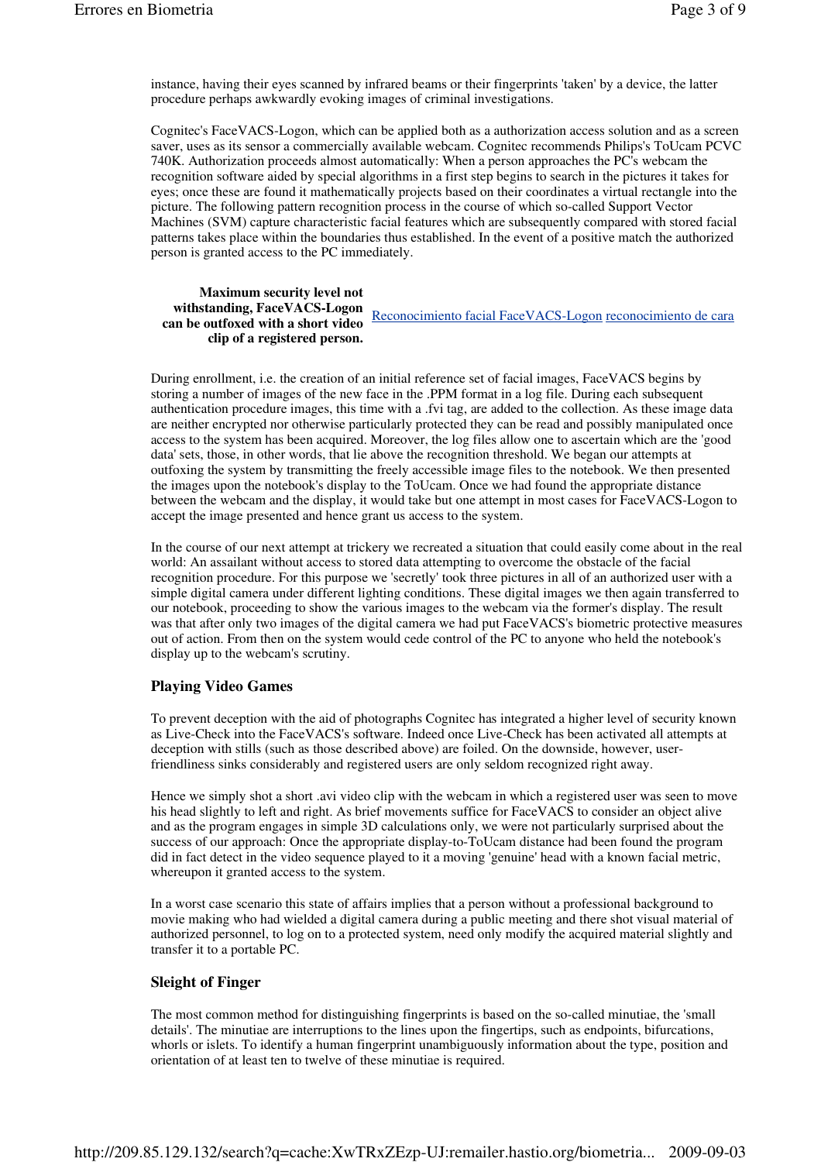instance, having their eyes scanned by infrared beams or their fingerprints 'taken' by a device, the latter procedure perhaps awkwardly evoking images of criminal investigations.

Cognitec's FaceVACS-Logon, which can be applied both as a authorization access solution and as a screen saver, uses as its sensor a commercially available webcam. Cognitec recommends Philips's ToUcam PCVC 740K. Authorization proceeds almost automatically: When a person approaches the PC's webcam the recognition software aided by special algorithms in a first step begins to search in the pictures it takes for eyes; once these are found it mathematically projects based on their coordinates a virtual rectangle into the picture. The following pattern recognition process in the course of which so-called Support Vector Machines (SVM) capture characteristic facial features which are subsequently compared with stored facial patterns takes place within the boundaries thus established. In the event of a positive match the authorized person is granted access to the PC immediately.

### **Maximum security level not withstanding, FaceVACS-Logon can be outfoxed with a short video clip of a registered person.** Reconocimiento facial FaceVACS-Logon reconocimiento de cara

During enrollment, i.e. the creation of an initial reference set of facial images, FaceVACS begins by storing a number of images of the new face in the .PPM format in a log file. During each subsequent authentication procedure images, this time with a .fvi tag, are added to the collection. As these image data are neither encrypted nor otherwise particularly protected they can be read and possibly manipulated once access to the system has been acquired. Moreover, the log files allow one to ascertain which are the 'good data' sets, those, in other words, that lie above the recognition threshold. We began our attempts at outfoxing the system by transmitting the freely accessible image files to the notebook. We then presented the images upon the notebook's display to the ToUcam. Once we had found the appropriate distance between the webcam and the display, it would take but one attempt in most cases for FaceVACS-Logon to accept the image presented and hence grant us access to the system.

In the course of our next attempt at trickery we recreated a situation that could easily come about in the real world: An assailant without access to stored data attempting to overcome the obstacle of the facial recognition procedure. For this purpose we 'secretly' took three pictures in all of an authorized user with a simple digital camera under different lighting conditions. These digital images we then again transferred to our notebook, proceeding to show the various images to the webcam via the former's display. The result was that after only two images of the digital camera we had put FaceVACS's biometric protective measures out of action. From then on the system would cede control of the PC to anyone who held the notebook's display up to the webcam's scrutiny.

# **Playing Video Games**

To prevent deception with the aid of photographs Cognitec has integrated a higher level of security known as Live-Check into the FaceVACS's software. Indeed once Live-Check has been activated all attempts at deception with stills (such as those described above) are foiled. On the downside, however, userfriendliness sinks considerably and registered users are only seldom recognized right away.

Hence we simply shot a short .avi video clip with the webcam in which a registered user was seen to move his head slightly to left and right. As brief movements suffice for FaceVACS to consider an object alive and as the program engages in simple 3D calculations only, we were not particularly surprised about the success of our approach: Once the appropriate display-to-ToUcam distance had been found the program did in fact detect in the video sequence played to it a moving 'genuine' head with a known facial metric, whereupon it granted access to the system.

In a worst case scenario this state of affairs implies that a person without a professional background to movie making who had wielded a digital camera during a public meeting and there shot visual material of authorized personnel, to log on to a protected system, need only modify the acquired material slightly and transfer it to a portable PC.

# **Sleight of Finger**

The most common method for distinguishing fingerprints is based on the so-called minutiae, the 'small details'. The minutiae are interruptions to the lines upon the fingertips, such as endpoints, bifurcations, whorls or islets. To identify a human fingerprint unambiguously information about the type, position and orientation of at least ten to twelve of these minutiae is required.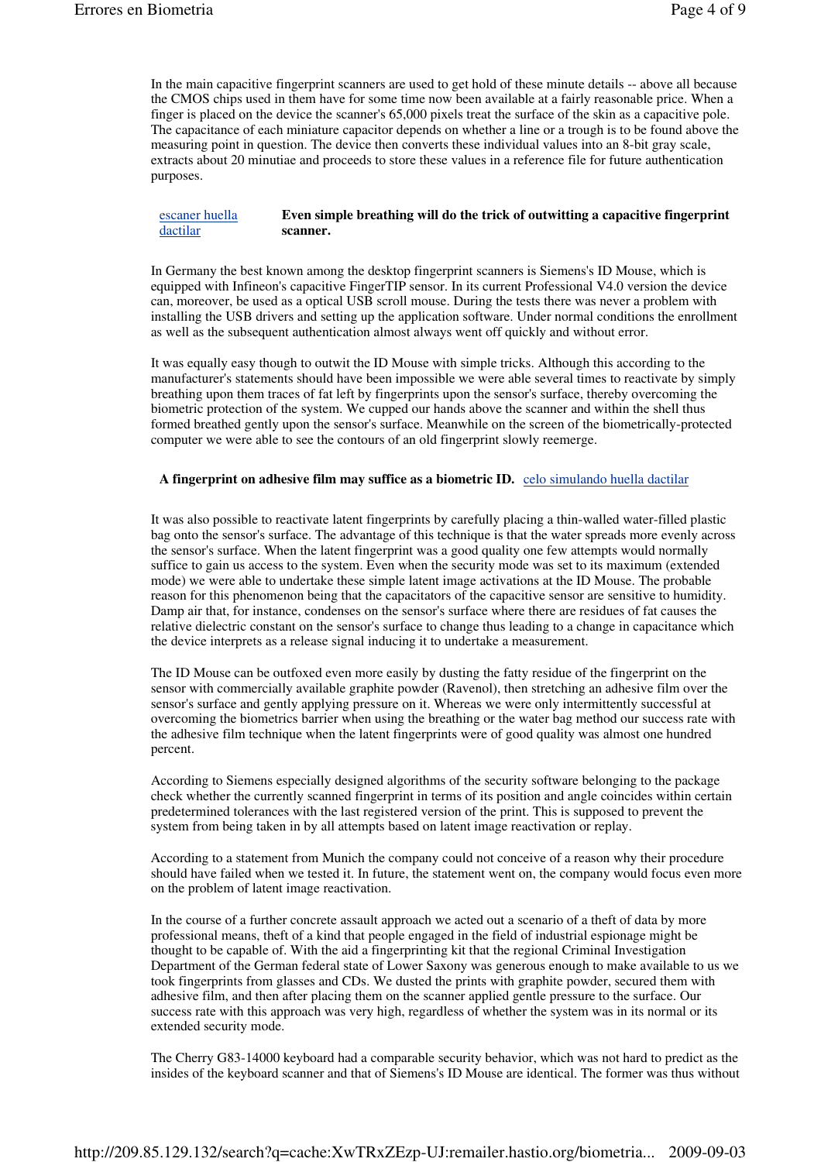In the main capacitive fingerprint scanners are used to get hold of these minute details -- above all because the CMOS chips used in them have for some time now been available at a fairly reasonable price. When a finger is placed on the device the scanner's 65,000 pixels treat the surface of the skin as a capacitive pole. The capacitance of each miniature capacitor depends on whether a line or a trough is to be found above the measuring point in question. The device then converts these individual values into an 8-bit gray scale, extracts about 20 minutiae and proceeds to store these values in a reference file for future authentication purposes.

escaner huella dactilar **Even simple breathing will do the trick of outwitting a capacitive fingerprint scanner.**

In Germany the best known among the desktop fingerprint scanners is Siemens's ID Mouse, which is equipped with Infineon's capacitive FingerTIP sensor. In its current Professional V4.0 version the device can, moreover, be used as a optical USB scroll mouse. During the tests there was never a problem with installing the USB drivers and setting up the application software. Under normal conditions the enrollment as well as the subsequent authentication almost always went off quickly and without error.

It was equally easy though to outwit the ID Mouse with simple tricks. Although this according to the manufacturer's statements should have been impossible we were able several times to reactivate by simply breathing upon them traces of fat left by fingerprints upon the sensor's surface, thereby overcoming the biometric protection of the system. We cupped our hands above the scanner and within the shell thus formed breathed gently upon the sensor's surface. Meanwhile on the screen of the biometrically-protected computer we were able to see the contours of an old fingerprint slowly reemerge.

### **A fingerprint on adhesive film may suffice as a biometric ID.** celo simulando huella dactilar

It was also possible to reactivate latent fingerprints by carefully placing a thin-walled water-filled plastic bag onto the sensor's surface. The advantage of this technique is that the water spreads more evenly across the sensor's surface. When the latent fingerprint was a good quality one few attempts would normally suffice to gain us access to the system. Even when the security mode was set to its maximum (extended mode) we were able to undertake these simple latent image activations at the ID Mouse. The probable reason for this phenomenon being that the capacitators of the capacitive sensor are sensitive to humidity. Damp air that, for instance, condenses on the sensor's surface where there are residues of fat causes the relative dielectric constant on the sensor's surface to change thus leading to a change in capacitance which the device interprets as a release signal inducing it to undertake a measurement.

The ID Mouse can be outfoxed even more easily by dusting the fatty residue of the fingerprint on the sensor with commercially available graphite powder (Ravenol), then stretching an adhesive film over the sensor's surface and gently applying pressure on it. Whereas we were only intermittently successful at overcoming the biometrics barrier when using the breathing or the water bag method our success rate with the adhesive film technique when the latent fingerprints were of good quality was almost one hundred percent.

According to Siemens especially designed algorithms of the security software belonging to the package check whether the currently scanned fingerprint in terms of its position and angle coincides within certain predetermined tolerances with the last registered version of the print. This is supposed to prevent the system from being taken in by all attempts based on latent image reactivation or replay.

According to a statement from Munich the company could not conceive of a reason why their procedure should have failed when we tested it. In future, the statement went on, the company would focus even more on the problem of latent image reactivation.

In the course of a further concrete assault approach we acted out a scenario of a theft of data by more professional means, theft of a kind that people engaged in the field of industrial espionage might be thought to be capable of. With the aid a fingerprinting kit that the regional Criminal Investigation Department of the German federal state of Lower Saxony was generous enough to make available to us we took fingerprints from glasses and CDs. We dusted the prints with graphite powder, secured them with adhesive film, and then after placing them on the scanner applied gentle pressure to the surface. Our success rate with this approach was very high, regardless of whether the system was in its normal or its extended security mode.

The Cherry G83-14000 keyboard had a comparable security behavior, which was not hard to predict as the insides of the keyboard scanner and that of Siemens's ID Mouse are identical. The former was thus without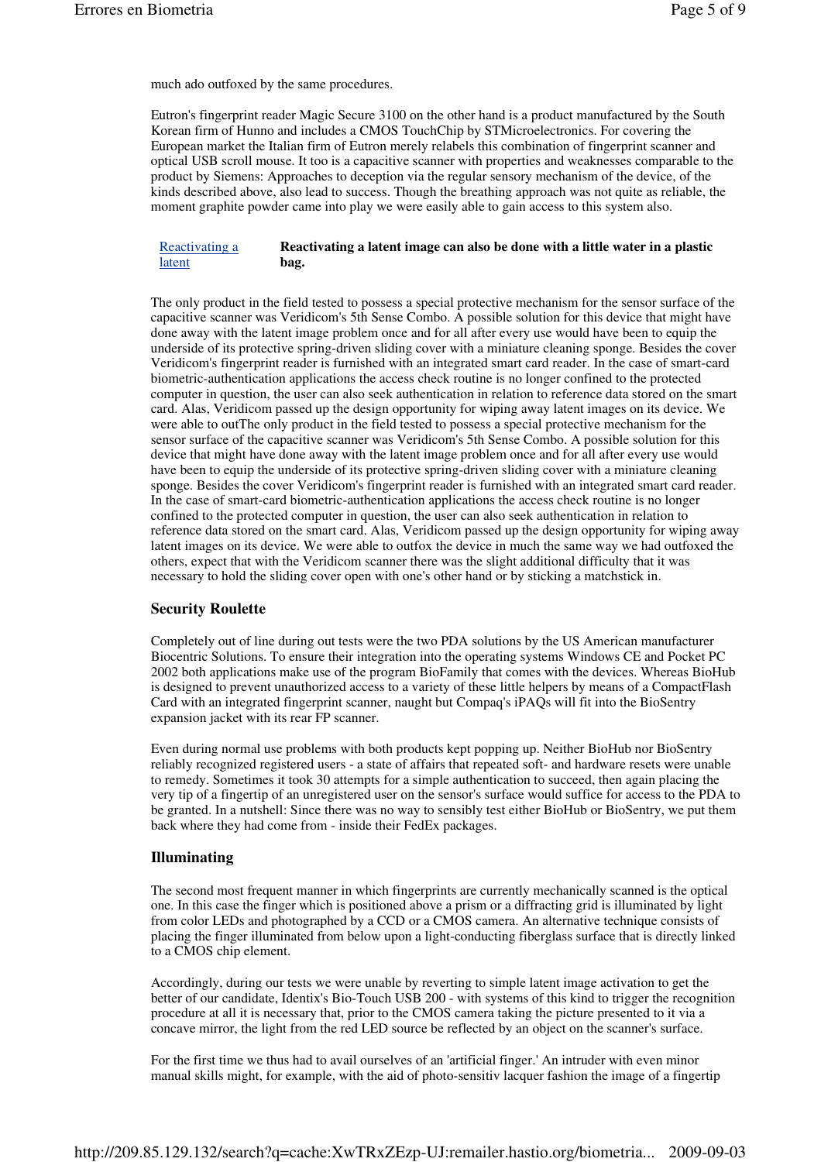much ado outfoxed by the same procedures.

Eutron's fingerprint reader Magic Secure 3100 on the other hand is a product manufactured by the South Korean firm of Hunno and includes a CMOS TouchChip by STMicroelectronics. For covering the European market the Italian firm of Eutron merely relabels this combination of fingerprint scanner and optical USB scroll mouse. It too is a capacitive scanner with properties and weaknesses comparable to the product by Siemens: Approaches to deception via the regular sensory mechanism of the device, of the kinds described above, also lead to success. Though the breathing approach was not quite as reliable, the moment graphite powder came into play we were easily able to gain access to this system also.

#### Reactivating a latent **Reactivating a latent image can also be done with a little water in a plastic bag.**

The only product in the field tested to possess a special protective mechanism for the sensor surface of the capacitive scanner was Veridicom's 5th Sense Combo. A possible solution for this device that might have done away with the latent image problem once and for all after every use would have been to equip the underside of its protective spring-driven sliding cover with a miniature cleaning sponge. Besides the cover Veridicom's fingerprint reader is furnished with an integrated smart card reader. In the case of smart-card biometric-authentication applications the access check routine is no longer confined to the protected computer in question, the user can also seek authentication in relation to reference data stored on the smart card. Alas, Veridicom passed up the design opportunity for wiping away latent images on its device. We were able to outThe only product in the field tested to possess a special protective mechanism for the sensor surface of the capacitive scanner was Veridicom's 5th Sense Combo. A possible solution for this device that might have done away with the latent image problem once and for all after every use would have been to equip the underside of its protective spring-driven sliding cover with a miniature cleaning sponge. Besides the cover Veridicom's fingerprint reader is furnished with an integrated smart card reader. In the case of smart-card biometric-authentication applications the access check routine is no longer confined to the protected computer in question, the user can also seek authentication in relation to reference data stored on the smart card. Alas, Veridicom passed up the design opportunity for wiping away latent images on its device. We were able to outfox the device in much the same way we had outfoxed the others, expect that with the Veridicom scanner there was the slight additional difficulty that it was necessary to hold the sliding cover open with one's other hand or by sticking a matchstick in.

### **Security Roulette**

Completely out of line during out tests were the two PDA solutions by the US American manufacturer Biocentric Solutions. To ensure their integration into the operating systems Windows CE and Pocket PC 2002 both applications make use of the program BioFamily that comes with the devices. Whereas BioHub is designed to prevent unauthorized access to a variety of these little helpers by means of a CompactFlash Card with an integrated fingerprint scanner, naught but Compaq's iPAQs will fit into the BioSentry expansion jacket with its rear FP scanner.

Even during normal use problems with both products kept popping up. Neither BioHub nor BioSentry reliably recognized registered users - a state of affairs that repeated soft- and hardware resets were unable to remedy. Sometimes it took 30 attempts for a simple authentication to succeed, then again placing the very tip of a fingertip of an unregistered user on the sensor's surface would suffice for access to the PDA to be granted. In a nutshell: Since there was no way to sensibly test either BioHub or BioSentry, we put them back where they had come from - inside their FedEx packages.

### **Illuminating**

The second most frequent manner in which fingerprints are currently mechanically scanned is the optical one. In this case the finger which is positioned above a prism or a diffracting grid is illuminated by light from color LEDs and photographed by a CCD or a CMOS camera. An alternative technique consists of placing the finger illuminated from below upon a light-conducting fiberglass surface that is directly linked to a CMOS chip element.

Accordingly, during our tests we were unable by reverting to simple latent image activation to get the better of our candidate, Identix's Bio-Touch USB 200 - with systems of this kind to trigger the recognition procedure at all it is necessary that, prior to the CMOS camera taking the picture presented to it via a concave mirror, the light from the red LED source be reflected by an object on the scanner's surface.

For the first time we thus had to avail ourselves of an 'artificial finger.' An intruder with even minor manual skills might, for example, with the aid of photo-sensitiv lacquer fashion the image of a fingertip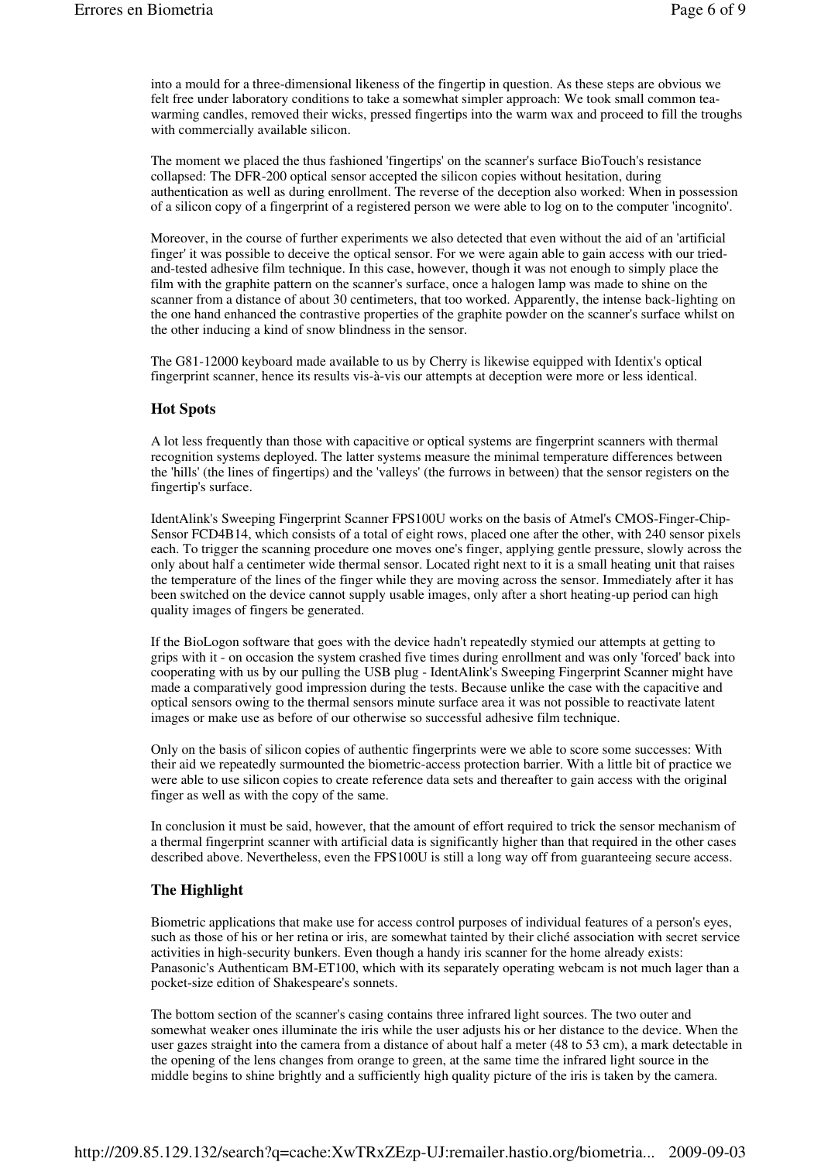into a mould for a three-dimensional likeness of the fingertip in question. As these steps are obvious we felt free under laboratory conditions to take a somewhat simpler approach: We took small common teawarming candles, removed their wicks, pressed fingertips into the warm wax and proceed to fill the troughs with commercially available silicon.

The moment we placed the thus fashioned 'fingertips' on the scanner's surface BioTouch's resistance collapsed: The DFR-200 optical sensor accepted the silicon copies without hesitation, during authentication as well as during enrollment. The reverse of the deception also worked: When in possession of a silicon copy of a fingerprint of a registered person we were able to log on to the computer 'incognito'.

Moreover, in the course of further experiments we also detected that even without the aid of an 'artificial finger' it was possible to deceive the optical sensor. For we were again able to gain access with our triedand-tested adhesive film technique. In this case, however, though it was not enough to simply place the film with the graphite pattern on the scanner's surface, once a halogen lamp was made to shine on the scanner from a distance of about 30 centimeters, that too worked. Apparently, the intense back-lighting on the one hand enhanced the contrastive properties of the graphite powder on the scanner's surface whilst on the other inducing a kind of snow blindness in the sensor.

The G81-12000 keyboard made available to us by Cherry is likewise equipped with Identix's optical fingerprint scanner, hence its results vis-à-vis our attempts at deception were more or less identical.

# **Hot Spots**

A lot less frequently than those with capacitive or optical systems are fingerprint scanners with thermal recognition systems deployed. The latter systems measure the minimal temperature differences between the 'hills' (the lines of fingertips) and the 'valleys' (the furrows in between) that the sensor registers on the fingertip's surface.

IdentAlink's Sweeping Fingerprint Scanner FPS100U works on the basis of Atmel's CMOS-Finger-Chip-Sensor FCD4B14, which consists of a total of eight rows, placed one after the other, with 240 sensor pixels each. To trigger the scanning procedure one moves one's finger, applying gentle pressure, slowly across the only about half a centimeter wide thermal sensor. Located right next to it is a small heating unit that raises the temperature of the lines of the finger while they are moving across the sensor. Immediately after it has been switched on the device cannot supply usable images, only after a short heating-up period can high quality images of fingers be generated.

If the BioLogon software that goes with the device hadn't repeatedly stymied our attempts at getting to grips with it - on occasion the system crashed five times during enrollment and was only 'forced' back into cooperating with us by our pulling the USB plug - IdentAlink's Sweeping Fingerprint Scanner might have made a comparatively good impression during the tests. Because unlike the case with the capacitive and optical sensors owing to the thermal sensors minute surface area it was not possible to reactivate latent images or make use as before of our otherwise so successful adhesive film technique.

Only on the basis of silicon copies of authentic fingerprints were we able to score some successes: With their aid we repeatedly surmounted the biometric-access protection barrier. With a little bit of practice we were able to use silicon copies to create reference data sets and thereafter to gain access with the original finger as well as with the copy of the same.

In conclusion it must be said, however, that the amount of effort required to trick the sensor mechanism of a thermal fingerprint scanner with artificial data is significantly higher than that required in the other cases described above. Nevertheless, even the FPS100U is still a long way off from guaranteeing secure access.

# **The Highlight**

Biometric applications that make use for access control purposes of individual features of a person's eyes, such as those of his or her retina or iris, are somewhat tainted by their cliché association with secret service activities in high-security bunkers. Even though a handy iris scanner for the home already exists: Panasonic's Authenticam BM-ET100, which with its separately operating webcam is not much lager than a pocket-size edition of Shakespeare's sonnets.

The bottom section of the scanner's casing contains three infrared light sources. The two outer and somewhat weaker ones illuminate the iris while the user adjusts his or her distance to the device. When the user gazes straight into the camera from a distance of about half a meter (48 to 53 cm), a mark detectable in the opening of the lens changes from orange to green, at the same time the infrared light source in the middle begins to shine brightly and a sufficiently high quality picture of the iris is taken by the camera.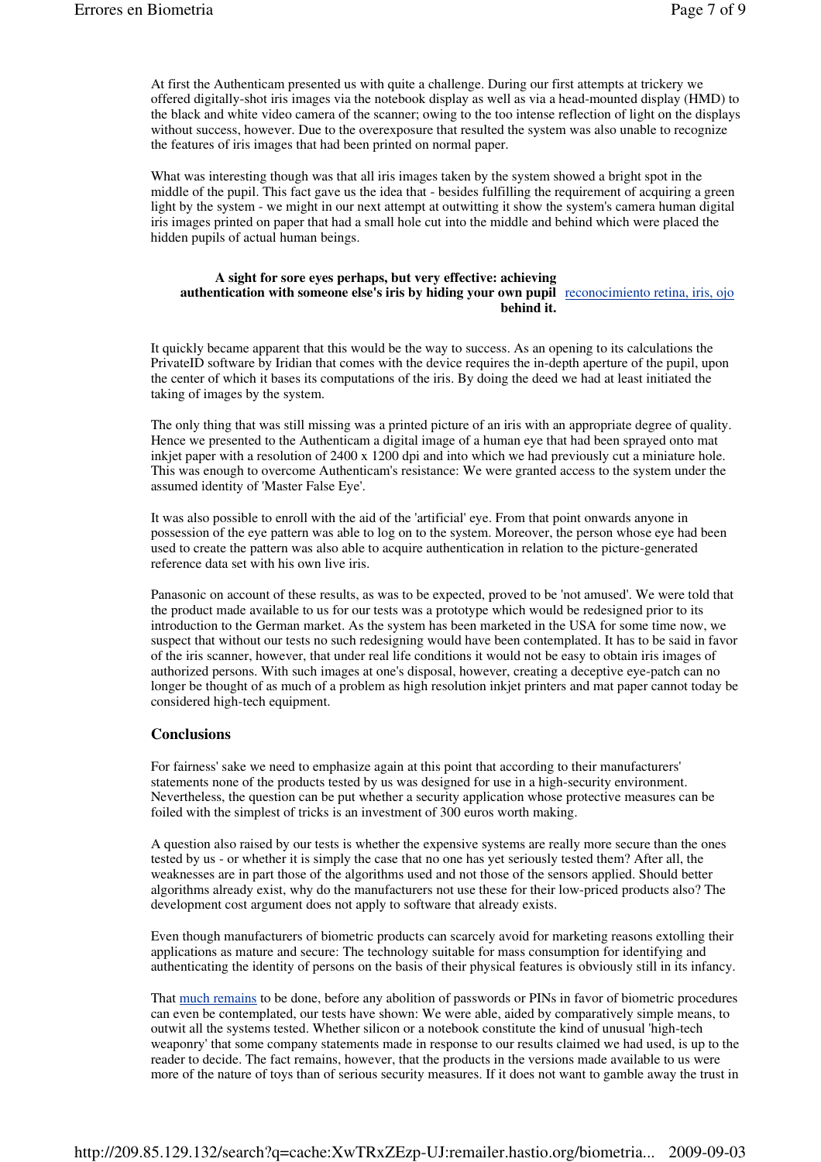At first the Authenticam presented us with quite a challenge. During our first attempts at trickery we offered digitally-shot iris images via the notebook display as well as via a head-mounted display (HMD) to the black and white video camera of the scanner; owing to the too intense reflection of light on the displays without success, however. Due to the overexposure that resulted the system was also unable to recognize the features of iris images that had been printed on normal paper.

What was interesting though was that all iris images taken by the system showed a bright spot in the middle of the pupil. This fact gave us the idea that - besides fulfilling the requirement of acquiring a green light by the system - we might in our next attempt at outwitting it show the system's camera human digital iris images printed on paper that had a small hole cut into the middle and behind which were placed the hidden pupils of actual human beings.

### **A sight for sore eyes perhaps, but very effective: achieving authentication with someone else's iris by hiding your own pupil**  reconocimiento retina, iris, ojo **behind it.**

It quickly became apparent that this would be the way to success. As an opening to its calculations the PrivateID software by Iridian that comes with the device requires the in-depth aperture of the pupil, upon the center of which it bases its computations of the iris. By doing the deed we had at least initiated the taking of images by the system.

The only thing that was still missing was a printed picture of an iris with an appropriate degree of quality. Hence we presented to the Authenticam a digital image of a human eye that had been sprayed onto mat inkjet paper with a resolution of 2400 x 1200 dpi and into which we had previously cut a miniature hole. This was enough to overcome Authenticam's resistance: We were granted access to the system under the assumed identity of 'Master False Eye'.

It was also possible to enroll with the aid of the 'artificial' eye. From that point onwards anyone in possession of the eye pattern was able to log on to the system. Moreover, the person whose eye had been used to create the pattern was also able to acquire authentication in relation to the picture-generated reference data set with his own live iris.

Panasonic on account of these results, as was to be expected, proved to be 'not amused'. We were told that the product made available to us for our tests was a prototype which would be redesigned prior to its introduction to the German market. As the system has been marketed in the USA for some time now, we suspect that without our tests no such redesigning would have been contemplated. It has to be said in favor of the iris scanner, however, that under real life conditions it would not be easy to obtain iris images of authorized persons. With such images at one's disposal, however, creating a deceptive eye-patch can no longer be thought of as much of a problem as high resolution inkjet printers and mat paper cannot today be considered high-tech equipment.

# **Conclusions**

For fairness' sake we need to emphasize again at this point that according to their manufacturers' statements none of the products tested by us was designed for use in a high-security environment. Nevertheless, the question can be put whether a security application whose protective measures can be foiled with the simplest of tricks is an investment of 300 euros worth making.

A question also raised by our tests is whether the expensive systems are really more secure than the ones tested by us - or whether it is simply the case that no one has yet seriously tested them? After all, the weaknesses are in part those of the algorithms used and not those of the sensors applied. Should better algorithms already exist, why do the manufacturers not use these for their low-priced products also? The development cost argument does not apply to software that already exists.

Even though manufacturers of biometric products can scarcely avoid for marketing reasons extolling their applications as mature and secure: The technology suitable for mass consumption for identifying and authenticating the identity of persons on the basis of their physical features is obviously still in its infancy.

That much remains to be done, before any abolition of passwords or PINs in favor of biometric procedures can even be contemplated, our tests have shown: We were able, aided by comparatively simple means, to outwit all the systems tested. Whether silicon or a notebook constitute the kind of unusual 'high-tech weaponry' that some company statements made in response to our results claimed we had used, is up to the reader to decide. The fact remains, however, that the products in the versions made available to us were more of the nature of toys than of serious security measures. If it does not want to gamble away the trust in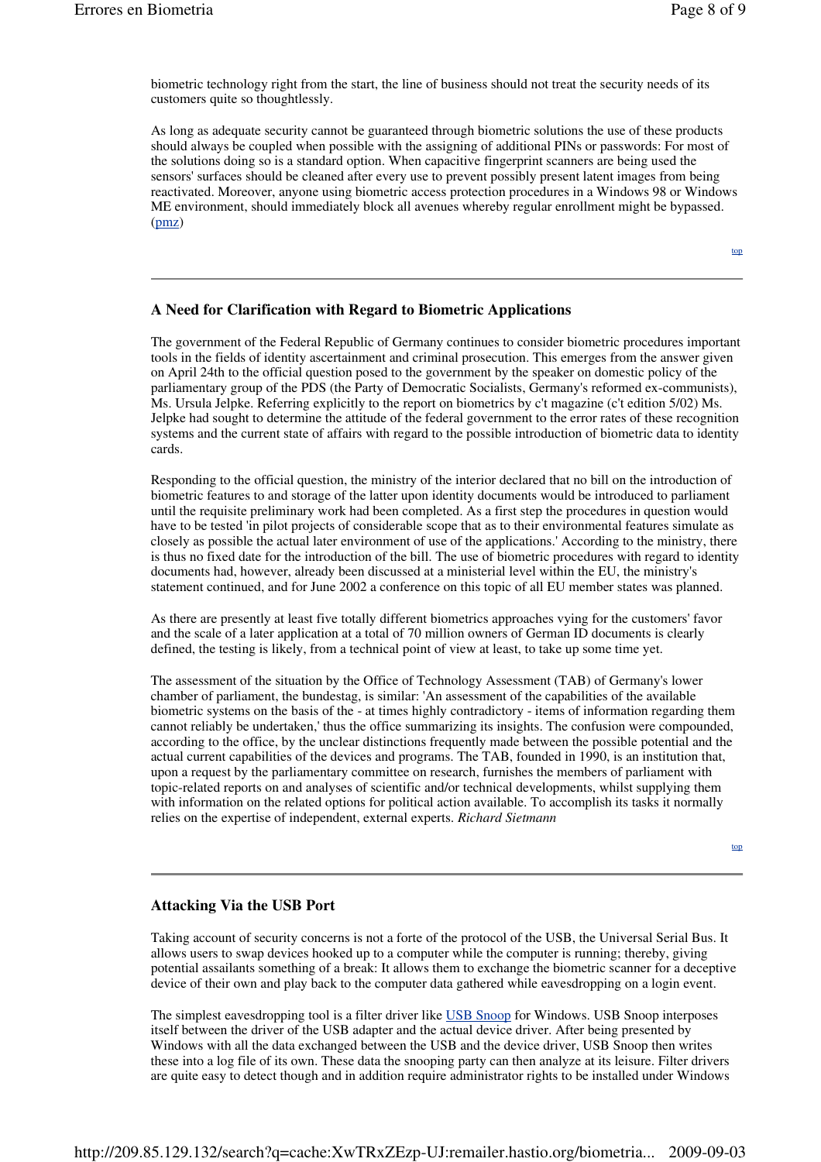biometric technology right from the start, the line of business should not treat the security needs of its customers quite so thoughtlessly.

As long as adequate security cannot be guaranteed through biometric solutions the use of these products should always be coupled when possible with the assigning of additional PINs or passwords: For most of the solutions doing so is a standard option. When capacitive fingerprint scanners are being used the sensors' surfaces should be cleaned after every use to prevent possibly present latent images from being reactivated. Moreover, anyone using biometric access protection procedures in a Windows 98 or Windows ME environment, should immediately block all avenues whereby regular enrollment might be bypassed. (pmz)

top

# **A Need for Clarification with Regard to Biometric Applications**

The government of the Federal Republic of Germany continues to consider biometric procedures important tools in the fields of identity ascertainment and criminal prosecution. This emerges from the answer given on April 24th to the official question posed to the government by the speaker on domestic policy of the parliamentary group of the PDS (the Party of Democratic Socialists, Germany's reformed ex-communists), Ms. Ursula Jelpke. Referring explicitly to the report on biometrics by c't magazine (c't edition 5/02) Ms. Jelpke had sought to determine the attitude of the federal government to the error rates of these recognition systems and the current state of affairs with regard to the possible introduction of biometric data to identity cards.

Responding to the official question, the ministry of the interior declared that no bill on the introduction of biometric features to and storage of the latter upon identity documents would be introduced to parliament until the requisite preliminary work had been completed. As a first step the procedures in question would have to be tested 'in pilot projects of considerable scope that as to their environmental features simulate as closely as possible the actual later environment of use of the applications.' According to the ministry, there is thus no fixed date for the introduction of the bill. The use of biometric procedures with regard to identity documents had, however, already been discussed at a ministerial level within the EU, the ministry's statement continued, and for June 2002 a conference on this topic of all EU member states was planned.

As there are presently at least five totally different biometrics approaches vying for the customers' favor and the scale of a later application at a total of 70 million owners of German ID documents is clearly defined, the testing is likely, from a technical point of view at least, to take up some time yet.

The assessment of the situation by the Office of Technology Assessment (TAB) of Germany's lower chamber of parliament, the bundestag, is similar: 'An assessment of the capabilities of the available biometric systems on the basis of the - at times highly contradictory - items of information regarding them cannot reliably be undertaken,' thus the office summarizing its insights. The confusion were compounded, according to the office, by the unclear distinctions frequently made between the possible potential and the actual current capabilities of the devices and programs. The TAB, founded in 1990, is an institution that, upon a request by the parliamentary committee on research, furnishes the members of parliament with topic-related reports on and analyses of scientific and/or technical developments, whilst supplying them with information on the related options for political action available. To accomplish its tasks it normally relies on the expertise of independent, external experts. *Richard Sietmann*

top

# **Attacking Via the USB Port**

Taking account of security concerns is not a forte of the protocol of the USB, the Universal Serial Bus. It allows users to swap devices hooked up to a computer while the computer is running; thereby, giving potential assailants something of a break: It allows them to exchange the biometric scanner for a deceptive device of their own and play back to the computer data gathered while eavesdropping on a login event.

The simplest eavesdropping tool is a filter driver like USB Snoop for Windows. USB Snoop interposes itself between the driver of the USB adapter and the actual device driver. After being presented by Windows with all the data exchanged between the USB and the device driver, USB Snoop then writes these into a log file of its own. These data the snooping party can then analyze at its leisure. Filter drivers are quite easy to detect though and in addition require administrator rights to be installed under Windows